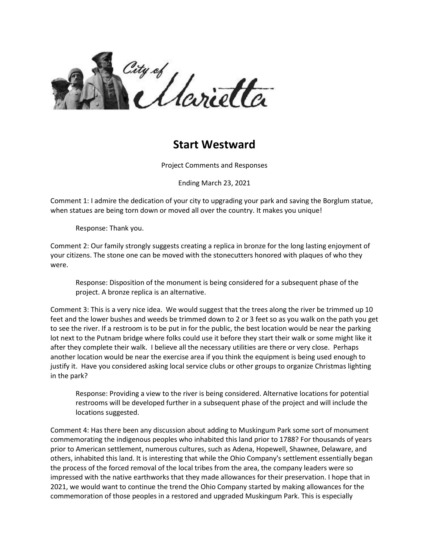

## **Start Westward**

Project Comments and Responses

Ending March 23, 2021

Comment 1: I admire the dedication of your city to upgrading your park and saving the Borglum statue, when statues are being torn down or moved all over the country. It makes you unique!

Response: Thank you.

Comment 2: Our family strongly suggests creating a replica in bronze for the long lasting enjoyment of your citizens. The stone one can be moved with the stonecutters honored with plaques of who they were.

Response: Disposition of the monument is being considered for a subsequent phase of the project. A bronze replica is an alternative.

Comment 3: This is a very nice idea. We would suggest that the trees along the river be trimmed up 10 feet and the lower bushes and weeds be trimmed down to 2 or 3 feet so as you walk on the path you get to see the river. If a restroom is to be put in for the public, the best location would be near the parking lot next to the Putnam bridge where folks could use it before they start their walk or some might like it after they complete their walk. I believe all the necessary utilities are there or very close. Perhaps another location would be near the exercise area if you think the equipment is being used enough to justify it. Have you considered asking local service clubs or other groups to organize Christmas lighting in the park?

Response: Providing a view to the river is being considered. Alternative locations for potential restrooms will be developed further in a subsequent phase of the project and will include the locations suggested.

Comment 4: Has there been any discussion about adding to Muskingum Park some sort of monument commemorating the indigenous peoples who inhabited this land prior to 1788? For thousands of years prior to American settlement, numerous cultures, such as Adena, Hopewell, Shawnee, Delaware, and others, inhabited this land. It is interesting that while the Ohio Company's settlement essentially began the process of the forced removal of the local tribes from the area, the company leaders were so impressed with the native earthworks that they made allowances for their preservation. I hope that in 2021, we would want to continue the trend the Ohio Company started by making allowances for the commemoration of those peoples in a restored and upgraded Muskingum Park. This is especially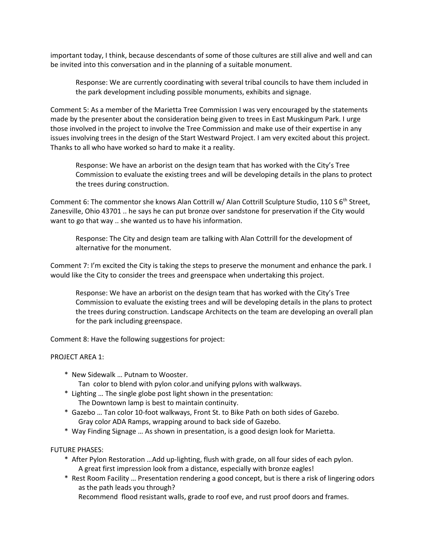important today, I think, because descendants of some of those cultures are still alive and well and can be invited into this conversation and in the planning of a suitable monument.

Response: We are currently coordinating with several tribal councils to have them included in the park development including possible monuments, exhibits and signage.

Comment 5: As a member of the Marietta Tree Commission I was very encouraged by the statements made by the presenter about the consideration being given to trees in East Muskingum Park. I urge those involved in the project to involve the Tree Commission and make use of their expertise in any issues involving trees in the design of the Start Westward Project. I am very excited about this project. Thanks to all who have worked so hard to make it a reality.

Response: We have an arborist on the design team that has worked with the City's Tree Commission to evaluate the existing trees and will be developing details in the plans to protect the trees during construction.

Comment 6: The commentor she knows Alan Cottrill w/ Alan Cottrill Sculpture Studio, 110 S 6<sup>th</sup> Street, Zanesville, Ohio 43701 .. he says he can put bronze over sandstone for preservation if the City would want to go that way .. she wanted us to have his information.

Response: The City and design team are talking with Alan Cottrill for the development of alternative for the monument.

Comment 7: I'm excited the City is taking the steps to preserve the monument and enhance the park. I would like the City to consider the trees and greenspace when undertaking this project.

Response: We have an arborist on the design team that has worked with the City's Tree Commission to evaluate the existing trees and will be developing details in the plans to protect the trees during construction. Landscape Architects on the team are developing an overall plan for the park including greenspace.

Comment 8: Have the following suggestions for project:

## PROJECT AREA 1:

- \* New Sidewalk … Putnam to Wooster.
	- Tan color to blend with pylon color.and unifying pylons with walkways.
- \* Lighting … The single globe post light shown in the presentation: The Downtown lamp is best to maintain continuity.
- \* Gazebo … Tan color 10-foot walkways, Front St. to Bike Path on both sides of Gazebo. Gray color ADA Ramps, wrapping around to back side of Gazebo.
- \* Way Finding Signage … As shown in presentation, is a good design look for Marietta.

## FUTURE PHASES:

- \* After Pylon Restoration …Add up-lighting, flush with grade, on all four sides of each pylon. A great first impression look from a distance, especially with bronze eagles!
- \* Rest Room Facility … Presentation rendering a good concept, but is there a risk of lingering odors as the path leads you through?
	- Recommend flood resistant walls, grade to roof eve, and rust proof doors and frames.